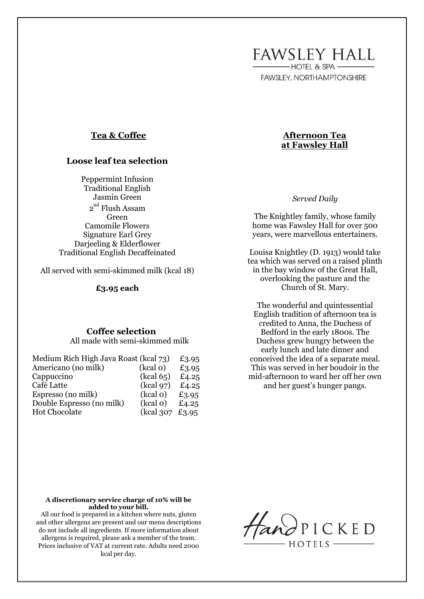**FAWSLEY HALL** -HOTEL & SPA -

**FAWSLEY, NORTHAMPTONSHIRE** 

## **Tea & Coffee**

## **Loose leaf tea selection**

Peppermint Infusion Traditional English Jasmin Green  $2^{\mathrm{nd}}$  Flush Assam Green Camomile Flowers Signature Earl Grey Darjeeling & Elderflower Traditional English Decaffeinated

All served with semi-skimmed milk (kcal 18)

#### **£3.95 each**

## **Coffee selection**

All made with semi-skimmed milk

| Medium Rich High Java Roast (kcal 73) |                  | £3.95 |
|---------------------------------------|------------------|-------|
| Americano (no milk)                   | (kcal o)         | £3.95 |
| Cappuccino                            | (kcal 65)        | £4.25 |
| Café Latte                            | (kcal 97)        | £4.25 |
| Espresso (no milk)                    | (kcal o)         | £3.95 |
| Double Espresso (no milk)             | (kcal o)         | £4.25 |
| <b>Hot Chocolate</b>                  | (kcal 307 £3.95) |       |

# *Served Daily*

**Afternoon Tea at Fawsley Hall**

The Knightley family, whose family home was Fawsley Hall for over 500 years, were marvellous entertainers.

Louisa Knightley (D. 1913) would take tea which was served on a raised plinth in the bay window of the Great Hall, overlooking the pasture and the Church of St. Mary.

The wonderful and quintessential English tradition of afternoon tea is credited to Anna, the Duchess of Bedford in the early 1800s. The Duchess grew hungry between the early lunch and late dinner and conceived the idea of a separate meal. This was served in her boudoir in the mid-afternoon to ward her off her own and her guest's hunger pangs.

#### **A discretionary service charge of 10% will be added to your bill.**

All our food is prepared in a kitchen where nuts, gluten and other allergens are present and our menu descriptions do not include all ingredients. If more information about allergens is required, please ask a member of the team. Prices inclusive of VAT at current rate. Adults need 2000 kcal per day.